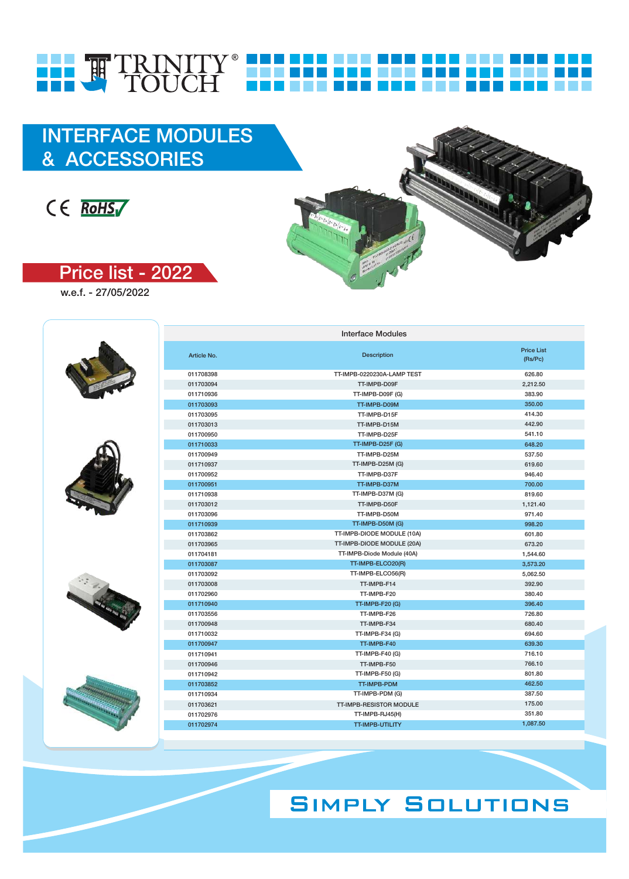# **SIMPLY SOLUTIONS**



| 011708398 | TT-IMPB-0220230A-LAMP TEST     | 626.80   |
|-----------|--------------------------------|----------|
| 011703094 | TT-IMPB-D09F                   | 2,212.50 |
| 011710936 | TT-IMPB-D09F (G)               | 383.90   |
| 011703093 | TT-IMPB-D09M                   | 350.00   |
| 011703095 | TT-IMPB-D15F                   | 414.30   |
| 011703013 | TT-IMPB-D15M                   | 442.90   |
| 011700950 | TT-IMPB-D25F                   | 541.10   |
| 011710033 | TT-IMPB-D25F (G)               | 648.20   |
| 011700949 | TT-IMPB-D25M                   | 537.50   |
| 011710937 | TT-IMPB-D25M (G)               | 619.60   |
| 011700952 | TT-IMPB-D37F                   | 946.40   |
| 011700951 | TT-IMPB-D37M                   | 700.00   |
| 011710938 | TT-IMPB-D37M (G)               | 819.60   |
| 011703012 | TT-IMPB-D50F                   | 1,121.40 |
| 011703096 | TT-IMPB-D50M                   | 971.40   |
| 011710939 | TT-IMPB-D50M (G)               | 998.20   |
| 011703862 | TT-IMPB-DIODE MODULE (10A)     | 601.80   |
| 011703965 | TT-IMPB-DIODE MODULE (20A)     | 673.20   |
| 011704181 | TT-IMPB-Diode Module (40A)     | 1,544.60 |
| 011703087 | TT-IMPB-ELCO20(R)              | 3,573.20 |
| 011703092 | TT-IMPB-ELCO56(R)              | 5,062.50 |
| 011703008 | TT-IMPB-F14                    | 392.90   |
| 011702960 | TT-IMPB-F20                    | 380.40   |
| 011710940 | <b>TT-IMPB-F20 (G)</b>         | 396.40   |
| 011703556 | TT-IMPB-F26                    | 726.80   |
| 011700948 | TT-IMPB-F34                    | 680.40   |
| 011710032 | TT-IMPB-F34 (G)                | 694.60   |
| 011700947 | TT-IMPB-F40                    | 639.30   |
| 011710941 | TT-IMPB-F40 (G)                | 716.10   |
| 011700946 | TT-IMPB-F50                    | 766.10   |
| 011710942 | TT-IMPB-F50 (G)                | 801.80   |
| 011703852 | TT-IMPB-PDM                    | 462.50   |
| 011710934 | TT-IMPB-PDM (G)                | 387.50   |
| 011703621 | <b>TT-IMPB-RESISTOR MODULE</b> | 175.00   |
| 011702976 | TT-IMPB-RJ45(H)                | 351.80   |
| 011702974 | <b>TT-IMPB-UTILITY</b>         | 1,087.50 |

Interface Modules

(Rs/Pc)

Price List و Price List و Price List و Price List و Price List و Price List و Price List<br>بدون المراجع المراجع المراجع المراجع المراجع المراجع المراجع المراجع المراجع المراجع المراجع المراجع المراجع ا

w.e.f. - 27/05/2022

 $C \in$  RoHS<sub>I</sub>

Price list - 2022

& ACCESSORIES







## HE TRINITY® HELLE IJ Tana a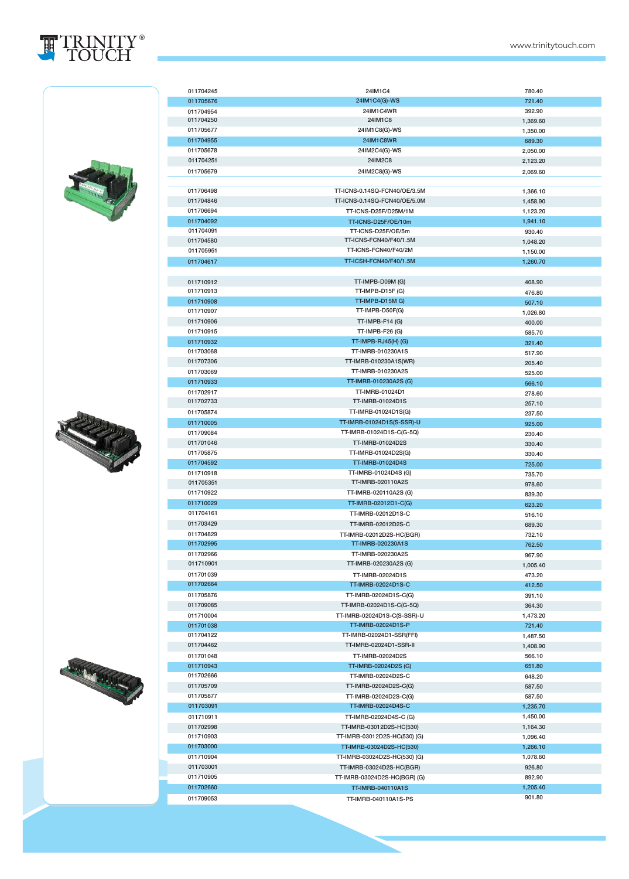

| 011704245              | 24IM1C4                                         | 780.40   |
|------------------------|-------------------------------------------------|----------|
| 011705676              | 24IM1C4(G)-WS                                   | 721.40   |
| 011704954<br>011704250 | 24IM1C4WR<br>24IM1C8                            | 392.90   |
| 011705677              | 24IM1C8(G)-WS                                   | 1,369.60 |
| 011704955              | <b>24IM1C8WR</b>                                | 1,350.00 |
| 011705678              | 24IM2C4(G)-WS                                   | 689.30   |
| 011704251              | 24IM2C8                                         | 2,050.00 |
|                        |                                                 | 2,123.20 |
| 011705679              | 24IM2C8(G)-WS                                   | 2,069.60 |
| 011706498              | TT-ICNS-0.14SQ-FCN40/OE/3.5M                    |          |
| 011704846              | TT-ICNS-0.14SQ-FCN40/OE/5.0M                    | 1,366.10 |
| 011706694              | TT-ICNS-D25F/D25M/1M                            | 1,458.90 |
|                        |                                                 | 1,123.20 |
| 011704092<br>011704091 | TT-ICNS-D25F/OE/10m<br>TT-ICNS-D25F/OE/5m       | 1,941.10 |
| 011704580              | TT-ICNS-FCN40/F40/1.5M                          | 930.40   |
| 011705951              | TT-ICNS-FCN40/F40/2M                            | 1,048.20 |
|                        | TT-ICSH-FCN40/F40/1.5M                          | 1,150.00 |
| 011704617              |                                                 | 1,260.70 |
|                        |                                                 |          |
| 011710912<br>011710913 | TT-IMPB-D09M (G)<br>TT-IMPB-D15F (G)            | 408.90   |
| 011710908              | TT-IMPB-D15M G)                                 | 476.80   |
| 011710907              | TT-IMPB-D50F(G)                                 | 507.10   |
| 011710906              | <b>TT-IMPB-F14 (G)</b>                          | 1,026.80 |
| 011710915              | TT-IMPB-F26 (G)                                 | 400.00   |
|                        |                                                 | 585.70   |
| 011710932<br>011703068 | <b>TT-IMPB-RJ45(H) (G)</b><br>TT-IMRB-010230A1S | 321.40   |
| 011707306              | TT-IMRB-010230A1S(WR)                           | 517.90   |
| 011703069              | TT-IMRB-010230A2S                               | 205.40   |
| 011710933              | TT-IMRB-010230A2S (G)                           | 525.00   |
|                        | TT-IMRB-01024D1                                 | 566.10   |
| 011702917<br>011702733 | TT-IMRB-01024D1S                                | 278.60   |
|                        |                                                 | 257.10   |
| 011705874              | TT-IMRB-01024D1S(G)                             | 237.50   |
| 011710005              | TT-IMRB-01024D1S(S-SSR)-U                       | 925.00   |
| 011709084              | TT-IMRB-01024D1S-C(G-5Q)                        | 230.40   |
| 011701046              | TT-IMRB-01024D2S                                | 330.40   |
| 011705875              | TT-IMRB-01024D2S(G)                             | 330.40   |
| 011704592              | TT-IMRB-01024D4S                                | 725.00   |
| 011710918<br>011705351 | TT-IMRB-01024D4S (G)<br>TT-IMRB-020110A2S       | 735.70   |
| 011710922              | TT-IMRB-020110A2S (G)                           | 978.60   |
|                        |                                                 | 839.30   |
| 011710029              | TT-IMRB-02012D1-C(G)<br>TT-IMRB-02012D1S-C      | 623.20   |
| 011704161              |                                                 | 516.10   |
| 011703429              | TT-IMRB-02012D2S-C                              | 689.30   |
| 011704829              | TT-IMRB-02012D2S-HC(BGR)                        | 732.10   |
| 011702995              | TT-IMRB-020230A1S                               | 762.50   |
| 011702966<br>011710901 | TT-IMRB-020230A2S                               | 967.90   |
|                        | TT-IMRB-020230A2S (G)                           | 1,005.40 |
| 011701039              | TT-IMRB-02024D1S                                | 473.20   |
| 011702664              | TT-IMRB-02024D1S-C                              | 412.50   |
| 011705876              | TT-IMRB-02024D1S-C(G)                           | 391.10   |
| 011709085              | TT-IMRB-02024D1S-C(G-5Q)                        | 364.30   |
| 011710004              | TT-IMRB-02024D1S-C(S-SSR)-U                     | 1,473.20 |
| 011701038              | TT-IMRB-02024D1S-P                              | 721.40   |
| 011704122              | TT-IMRB-02024D1-SSR(FFI)                        | 1,487.50 |
| 011704462              | TT-IMRB-02024D1-SSR-II                          | 1,408.90 |
| 011701048              | TT-IMRB-02024D2S                                | 566.10   |
| 011710943              | TT-IMRB-02024D2S (G)                            | 651.80   |
| 011702666              | TT-IMRB-02024D2S-C                              | 648.20   |
| 011705709              | TT-IMRB-02024D2S-C(G)                           | 587.50   |
| 011705877              | TT-IMRB-02024D2S-C(G)                           | 587.50   |
| 011703091              | TT-IMRB-02024D4S-C                              | 1,235.70 |
| 011710911              | TT-IMRB-02024D4S-C (G)                          | 1,450.00 |
| 011702998              | TT-IMRB-03012D2S-HC(530)                        | 1,164.30 |
| 011710903              | TT-IMRB-03012D2S-HC(530) (G)                    | 1,096.40 |
| 011703000              | TT-IMRB-03024D2S-HC(530)                        | 1,266.10 |
| 011710904              | TT-IMRB-03024D2S-HC(530) (G)                    | 1,078.60 |
| 011703001              | TT-IMRB-03024D2S-HC(BGR)                        | 926.80   |
| 011710905              | TT-IMRB-03024D2S-HC(BGR) (G)                    | 892.90   |
| 011702660              | <b>TT-IMRB-040110A1S</b>                        | 1,205.40 |
| 011709053              | TT-IMRB-040110A1S-PS                            | 901.80   |





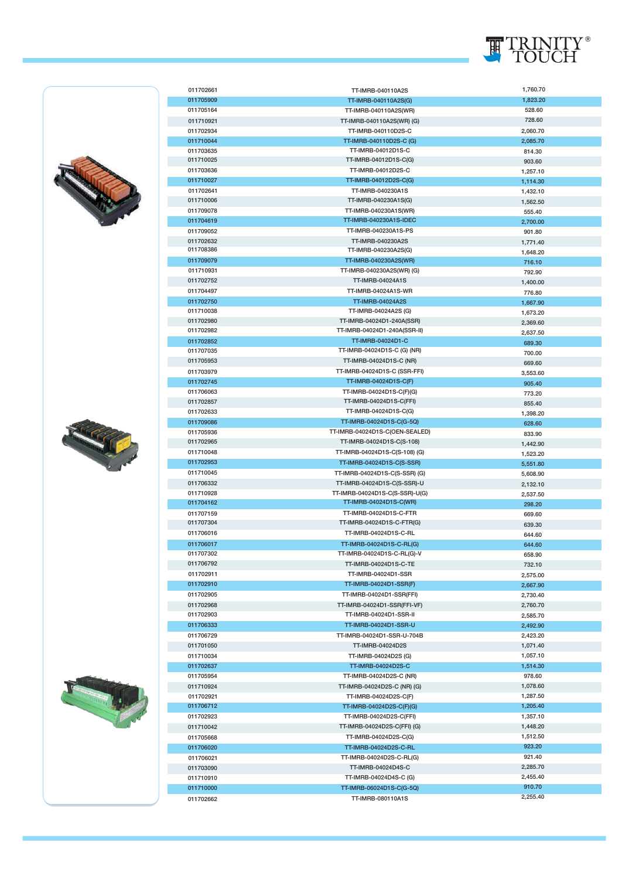

| 011702661              | TT-IMRB-040110A2S                                        | 1,760.70             |
|------------------------|----------------------------------------------------------|----------------------|
| 011705909              | TT-IMRB-040110A2S(G)                                     | 1,823.20             |
| 011705164              | TT-IMRB-040110A2S(WR)                                    | 528.60               |
| 011710921              | TT-IMRB-040110A2S(WR) (G)                                | 728.60               |
| 011702934              | TT-IMRB-040110D2S-C                                      | 2,060.70             |
| 011710044              | TT-IMRB-040110D2S-C (G)                                  | 2,085.70             |
| 011703635              | TT-IMRB-04012D1S-C                                       | 814.30               |
| 011710025              | TT-IMRB-04012D1S-C(G)                                    | 903.60               |
| 011703636              | TT-IMRB-04012D2S-C                                       | 1,257.10             |
| 011710027              | TT-IMRB-04012D2S-C(G)                                    | 1,114.30             |
| 011702641              | TT-IMRB-040230A1S                                        | 1,432.10             |
| 011710006              | TT-IMRB-040230A1S(G)                                     | 1,562.50             |
| 011709078              | TT-IMRB-040230A1S(WR)                                    | 555.40               |
| 011704619              | TT-IMRB-040230A1S-IDEC                                   | 2,700.00             |
| 011709052              | TT-IMRB-040230A1S-PS                                     | 901.80               |
| 011702632              | TT-IMRB-040230A2S                                        | 1,771.40             |
| 011708386              | TT-IMRB-040230A2S(G)                                     | 1,648.20             |
| 011709079              | TT-IMRB-040230A2S(WR)                                    | 716.10               |
| 011710931<br>011702752 | TT-IMRB-040230A2S(WR) (G)<br>TT-IMRB-04024A1S            | 792.90               |
| 011704497              | TT-IMRB-04024A1S-WR                                      | 1,400.00             |
| 011702750              | TT-IMRB-04024A2S                                         | 776.80               |
| 011710038              | TT-IMRB-04024A2S (G)                                     | 1,667.90             |
| 011702980              | TT-IMRB-04024D1-240A(SSR)                                | 1,673.20             |
| 011702982              | TT-IMRB-04024D1-240A(SSR-II)                             | 2,369.60<br>2,637.50 |
| 011702852              | TT-IMRB-04024D1-C                                        | 689.30               |
| 011707035              | TT-IMRB-04024D1S-C (G) (NR)                              | 700.00               |
| 011705953              | TT-IMRB-04024D1S-C (NR)                                  | 669.60               |
| 011703979              | TT-IMRB-04024D1S-C (SSR-FFI)                             | 3,553.60             |
| 011702745              | TT-IMRB-04024D1S-C(F)                                    | 905.40               |
| 011706063              | TT-IMRB-04024D1S-C(F)(G)                                 | 773.20               |
| 011702857              | TT-IMRB-04024D1S-C(FFI)                                  | 855.40               |
| 011702633              | TT-IMRB-04024D1S-C(G)                                    | 1,398.20             |
| 011709086              | TT-IMRB-04024D1S-C(G-5Q)                                 | 628.60               |
| 011705936              | TT-IMRB-04024D1S-C(OEN-SEALED)                           | 833.90               |
| 011702965              | TT-IMRB-04024D1S-C(S-108)                                | 1,442.90             |
| 011710048              | TT-IMRB-04024D1S-C(S-108) (G)                            | 1,523.20             |
| 011702953              | TT-IMRB-04024D1S-C(S-SSR)                                | 5,551.80             |
| 011710045              | TT-IMRB-04024D1S-C(S-SSR) (G)                            | 5,608.90             |
| 011706332              | TT-IMRB-04024D1S-C(S-SSR)-U                              | 2,132.10             |
| 011710928<br>011704162 | TT-IMRB-04024D1S-C(S-SSR)-U(G)<br>TT-IMRB-04024D1S-C(WR) | 2,537.50             |
| 011707159              | TT-IMRB-04024D1S-C-FTR                                   | 298.20               |
| 011707304              | TT-IMRB-04024D1S-C-FTR(G)                                | 669.60               |
| 011706016              | TT-IMRB-04024D1S-C-RL                                    | 639.30<br>644.60     |
| 011706017              | TT-IMRB-04024D1S-C-RL(G)                                 | 644.60               |
| 011707302              | TT-IMRB-04024D1S-C-RL(G)-V                               | 658.90               |
| 011706792              | TT-IMRB-04024D1S-C-TE                                    | 732.10               |
| 011702911              | TT-IMRB-04024D1-SSR                                      | 2,575.00             |
| 011702910              | TT-IMRB-04024D1-SSR(F)                                   | 2,667.90             |
| 011702905              | TT-IMRB-04024D1-SSR(FFI)                                 | 2,730.40             |
| 011702968              | TT-IMRB-04024D1-SSR(FFI-VF)                              | 2,760.70             |
| 011702903              | TT-IMRB-04024D1-SSR-II                                   | 2,585.70             |
| 011706333              | TT-IMRB-04024D1-SSR-U                                    | 2,492.90             |
| 011706729              | TT-IMRB-04024D1-SSR-U-704B                               | 2,423.20             |
| 011701050              | TT-IMRB-04024D2S                                         | 1,071.40             |
| 011710034              | TT-IMRB-04024D2S (G)                                     | 1,057.10             |
| 011702637              | TT-IMRB-04024D2S-C                                       | 1,514.30             |
| 011705954              | TT-IMRB-04024D2S-C (NR)                                  | 978.60               |
| 011710924              | TT-IMRB-04024D2S-C (NR) (G)                              | 1,078.60             |
| 011702921              | TT-IMRB-04024D2S-C(F)                                    | 1,287.50             |
| 011706712              | TT-IMRB-04024D2S-C(F)(G)                                 | 1,205.40             |
| 011702923              | TT-IMRB-04024D2S-C(FFI)                                  | 1,357.10             |
| 011710042              | TT-IMRB-04024D2S-C(FFI) (G)                              | 1,448.20             |
| 011705668              | TT-IMRB-04024D2S-C(G)                                    | 1,512.50             |
| 011706020              | TT-IMRB-04024D2S-C-RL                                    | 923.20               |
| 011706021              | TT-IMRB-04024D2S-C-RL(G)                                 | 921.40               |
| 011703090              | TT-IMRB-04024D4S-C<br>TT-IMRB-04024D4S-C (G)             | 2,285.70<br>2,455.40 |
| 011710910<br>011710000 | TT-IMRB-06024D1S-C(G-5Q)                                 | 910.70               |
| 011702662              | TT-IMRB-080110A1S                                        | 2,255.40             |
|                        |                                                          |                      |





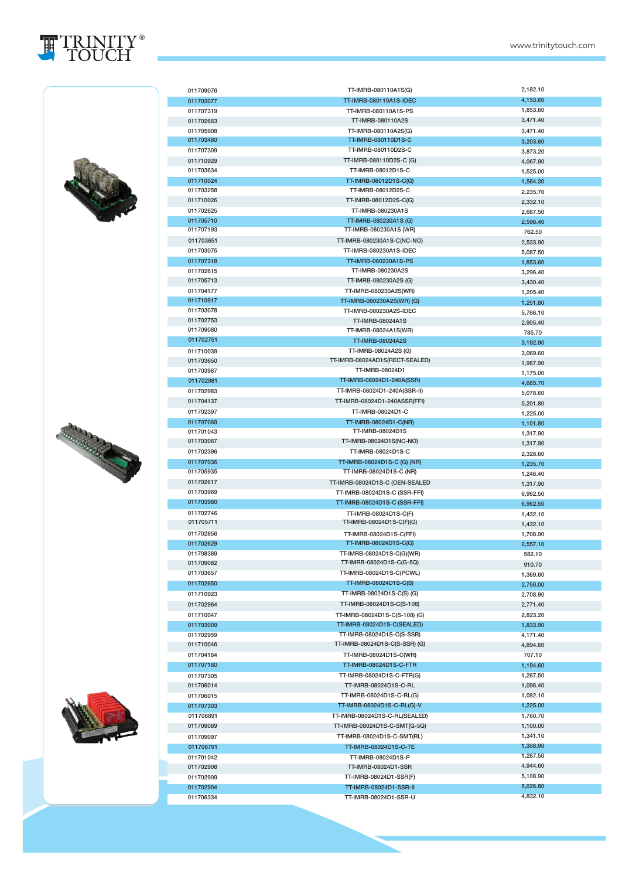







| 011709076 | TT-IMRB-080110A1S(G)           | 2,182.10 |
|-----------|--------------------------------|----------|
| 011703077 | TT-IMRB-080110A1S-IDEC         | 4,153.60 |
| 011707319 | TT-IMRB-080110A1S-PS           | 1,853.60 |
| 011702663 | TT-IMRB-080110A2S              | 3,471.40 |
| 011705908 | TT-IMRB-080110A2S(G)           | 3,471.40 |
| 011703480 | TT-IMRB-080110D1S-C            | 3,203.60 |
| 011707309 | TT-IMRB-080110D2S-C            | 3,873.20 |
| 011710929 | TT-IMRB-080110D2S-C (G)        | 4,067.90 |
| 011703634 | TT-IMRB-08012D1S-C             | 1,525.00 |
| 011710024 | TT-IMRB-08012D1S-C(G)          | 1,564.30 |
| 011703258 | TT-IMRB-08012D2S-C             | 2,235.70 |
| 011710026 | TT-IMRB-08012D2S-C(G)          | 2,332.10 |
| 011702625 | TT-IMRB-080230A1S              | 2,687.50 |
| 011705710 | TT-IMRB-080230A1S (G)          | 2,596.40 |
| 011707193 | TT-IMRB-080230A1S (WR)         | 762.50   |
| 011703651 | TT-IMRB-080230A1S-C(NC-NO)     | 2,533.90 |
| 011703075 | TT-IMRB-080230A1S-IDEC         | 5,087.50 |
| 011707318 | TT-IMRB-080230A1S-PS           |          |
| 011702615 | TT-IMRB-080230A2S              | 1,853.60 |
| 011705713 | TT-IMRB-080230A2S (G)          | 3,296.40 |
| 011704177 | TT-IMRB-080230A2S(WR)          | 3,430.40 |
| 011710917 | TT-IMRB-080230A2S(WR) (G)      | 1,205.40 |
| 011703078 | TT-IMRB-080230A2S-IDEC         | 1,251.80 |
| 011702753 | TT-IMRB-08024A1S               | 5,766.10 |
| 011709080 | TT-IMRB-08024A1S(WR)           | 2,905.40 |
| 011702751 |                                | 785.70   |
|           | <b>TT-IMRB-08024A2S</b>        | 3,192.90 |
| 011710039 | TT-IMRB-08024A2S (G)           | 3,069.60 |
| 011703650 | TT-IMRB-08024AD1S(RECT-SEALED) | 1,967.90 |
| 011703987 | TT-IMRB-08024D1                | 1,175.00 |
| 011702981 | TT-IMRB-08024D1-240A(SSR)      | 4,685.70 |
| 011702983 | TT-IMRB-08024D1-240A(SSR-II)   | 5,078.60 |
| 011704137 | TT-IMRB-08024D1-240ASSR(FFI)   | 5,201.80 |
| 011702397 | TT-IMRB-08024D1-C              | 1,225.00 |
| 011707069 | TT-IMRB-08024D1-C(NR)          | 1,101.80 |
| 011701043 | TT-IMRB-08024D1S               | 1,317.90 |
| 011703067 | TT-IMRB-08024D1S(NC-NO)        | 1,317.90 |
| 011702396 | TT-IMRB-08024D1S-C             | 2,328.60 |
| 011707036 | TT-IMRB-08024D1S-C (G) (NR)    | 1,235.70 |
| 011705935 | TT-IMRB-08024D1S-C (NR)        | 1,246.40 |
| 011702617 | TT-IMRB-08024D1S-C (OEN-SEALED | 1,317.90 |
| 011703969 | TT-IMRB-08024D1S-C (SSR-FFI)   | 6,962.50 |
| 011703980 | TT-IMRB-08024D1S-C (SSR-FFI)   | 6,962.50 |
| 011702746 | TT-IMRB-08024D1S-C(F)          | 1,432.10 |
| 011705711 | TT-IMRB-08024D1S-C(F)(G)       | 1,432.10 |
| 011702856 | TT-IMRB-08024D1S-C(FFI)        | 1,708.90 |
| 011702629 | TT-IMRB-08024D1S-C(G)          | 2,557.10 |
| 011708389 | TT-IMRB-08024D1S-C(G)(WR)      | 582.10   |
| 011709082 | TT-IMRB-08024D1S-C(G-5Q)       | 910.70   |
| 011703657 | TT-IMRB-08024D1S-C(PCWL)       | 1,369.60 |
| 011702650 | TT-IMRB-08024D1S-C(S)          | 2,750.00 |
| 011710923 | TT-IMRB-08024D1S-C(S)(G)       |          |
|           | TT-IMRB-08024D1S-C(S-108)      | 2,708.90 |
| 011702964 | TT-IMRB-08024D1S-C(S-108) (G)  | 2,771.40 |
| 011710047 |                                | 2,823.20 |
| 011703009 | TT-IMRB-08024D1S-C(SEALED)     | 1,833.90 |
| 011702959 | TT-IMRB-08024D1S-C(S-SSR)      | 4,171.40 |
| 011710046 | TT-IMRB-08024D1S-C(S-SSR) (G)  | 4,894.60 |
| 011704164 | TT-IMRB-08024D1S-C(WR)         | 707.10   |
| 011707160 | TT-IMRB-08024D1S-C-FTR         | 1,194.60 |
| 011707305 | TT-IMRB-08024D1S-C-FTR(G)      | 1,287.50 |
| 011706014 | TT-IMRB-08024D1S-C-RL          | 1,096.40 |
| 011706015 | TT-IMRB-08024D1S-C-RL(G)       | 1,082.10 |
| 011707303 | TT-IMRB-08024D1S-C-RL(G)-V     | 1,225.00 |
| 011706891 | TT-IMRB-08024D1S-C-RL(SEALED)  | 1,760.70 |
| 011709089 | TT-IMRB-08024D1S-C-SMT(G-5Q)   | 1,100.00 |
| 011709097 | TT-IMRB-08024D1S-C-SMT(RL)     | 1,341.10 |
| 011706791 | TT-IMRB-08024D1S-C-TE          | 1,308.90 |
| 011701042 | TT-IMRB-08024D1S-P             | 1,287.50 |
| 011702908 | TT-IMRB-08024D1-SSR            | 4,944.60 |
| 011702909 | TT-IMRB-08024D1-SSR(F)         | 5,108.90 |
| 011702904 | TT-IMRB-08024D1-SSR-II         | 5,026.80 |
| 011706334 | TT-IMRB-08024D1-SSR-U          | 4,832.10 |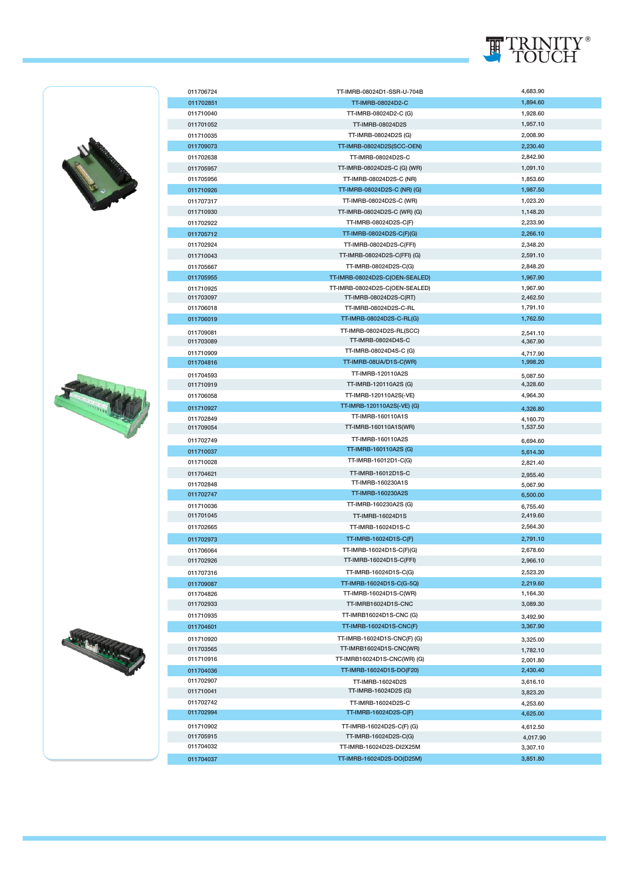

| 011706724 | TT-IMRB-08024D1-SSR-U-704B     | 4,683.90             |
|-----------|--------------------------------|----------------------|
| 011702851 | TT-IMRB-08024D2-C              | 1,894.60             |
| 011710040 | TT-IMRB-08024D2-C (G)          | 1,928.60             |
| 011701052 | TT-IMRB-08024D2S               | 1,957.10             |
| 011710035 | TT-IMRB-08024D2S (G)           | 2,008.90             |
| 011709073 | TT-IMRB-08024D2S(SCC-OEN)      | 2.230.40             |
| 011702638 | TT-IMRB-08024D2S-C             | 2,842.90             |
| 011705957 | TT-IMRB-08024D2S-C (G) (WR)    | 1,091.10             |
|           |                                |                      |
| 011705956 | TT-IMRB-08024D2S-C (NR)        | 1,853.60             |
| 011710926 | TT-IMRB-08024D2S-C (NR) (G)    | 1,987.50             |
| 011707317 | TT-IMRB-08024D2S-C (WR)        | 1,023.20             |
| 011710930 | TT-IMRB-08024D2S-C (WR) (G)    | 1,148.20             |
| 011702922 | TT-IMRB-08024D2S-C(F)          | 2,233.90             |
| 011705712 | TT-IMRB-08024D2S-C(F)(G)       | 2,266.10             |
| 011702924 | TT-IMRB-08024D2S-C(FFI)        | 2,348.20             |
| 011710043 | TT-IMRB-08024D2S-C(FFI) (G)    | 2,591.10             |
| 011705667 | TT-IMRB-08024D2S-C(G)          | 2,848.20             |
| 011705955 | TT-IMRB-08024D2S-C(OEN-SEALED) | 1,967.90             |
| 011710925 | TT-IMRB-08024D2S-C(OEN-SEALED) | 1,967.90             |
| 011703097 | TT-IMRB-08024D2S-C(RT)         | 2,462.50             |
| 011706018 | TT-IMRB-08024D2S-C-RL          | 1,791.10             |
| 011706019 | TT-IMRB-08024D2S-C-RL(G)       | 1,762.50             |
|           |                                |                      |
| 011709081 | TT-IMRB-08024D2S-RL(SCC)       | 2,541.10             |
| 011703089 | TT-IMRB-08024D4S-C             | 4,367.90             |
| 011710909 | TT-IMRB-08024D4S-C (G)         | 4.717.90             |
| 011704816 | TT-IMRB-08UA/D1S-C(WR)         | 1,998.20             |
| 011704593 | TT-IMRB-120110A2S              | 5,087.50             |
| 011710919 | TT-IMRB-120110A2S (G)          | 4,328.60             |
| 011706058 | TT-IMRB-120110A2S(-VE)         | 4,964.30             |
| 011710927 | TT-IMRB-120110A2S(-VE) (G)     | 4,326.80             |
| 011702849 | TT-IMRB-160110A1S              | 4,160.70             |
| 011709054 | TT-IMRB-160110A1S(WR)          | 1,537.50             |
| 011702749 | TT-IMRB-160110A2S              | 6,694.60             |
| 011710037 | TT-IMRB-160110A2S (G)          | 5,614.30             |
| 011710028 | TT-IMRB-16012D1-C(G)           | 2,821.40             |
|           | TT-IMRB-16012D1S-C             |                      |
| 011704621 | TT-IMRB-160230A1S              | 2.955.40             |
| 011702848 | TT-IMRB-160230A2S              | 5,067.90             |
| 011702747 | TT-IMRB-160230A2S (G)          | 6,500.00             |
| 011710036 |                                | 6,755.40             |
| 011701045 | <b>TT-IMRB-16024D1S</b>        | 2,419.60             |
| 011702665 | TT-IMRB-16024D1S-C             | 2,564.30             |
| 011702973 | TT-IMRB-16024D1S-C(F)          | 2,791.10             |
| 011706064 | TT-IMRB-16024D1S-C(F)(G)       | 2,678.60             |
| 011702926 | TT-IMRB-16024D1S-C(FFI)        | 2,966.10             |
| 011707316 | TT-IMRB-16024D1S-C(G)          | 2,523.20             |
| 011709087 | TT-IMRB-16024D1S-C(G-5Q)       | 2,219.60             |
| 011704826 | TT-IMRB-16024D1S-C(WR)         | 1,164.30             |
| 011702933 | TT-IMRB16024D1S-CNC            | 3,089.30             |
| 011710935 | TT-IMRB16024D1S-CNC (G)        |                      |
| 011704601 | TT-IMRB-16024D1S-CNC(F)        | 3,492.90<br>3,367.90 |
|           |                                |                      |
| 011710920 | TT-IMRB-16024D1S-CNC(F)(G)     | 3,325.00             |
| 011703565 | TT-IMRB16024D1S-CNC(WR)        | 1,782.10             |
| 011710916 | TT-IMRB16024D1S-CNC(WR) (G)    | 2,001.80             |
| 011704036 | TT-IMRB-16024D1S-DO(F20)       | 2,430.40             |
| 011702907 | TT-IMRB-16024D2S               | 3,616.10             |
| 011710041 | TT-IMRB-16024D2S (G)           | 3,823.20             |
| 011702742 | TT-IMRB-16024D2S-C             | 4,253.60             |
| 011702994 | TT-IMRB-16024D2S-C(F)          | 4,625.00             |
| 011710902 | TT-IMRB-16024D2S-C(F) (G)      | 4,612.50             |
| 011705915 | TT-IMRB-16024D2S-C(G)          | 4,017.90             |
| 011704032 | TT-IMRB-16024D2S-DI2X25M       | 3,307.10             |
| 011704037 | TT-IMRB-16024D2S-DO(D25M)      | 3,851.80             |